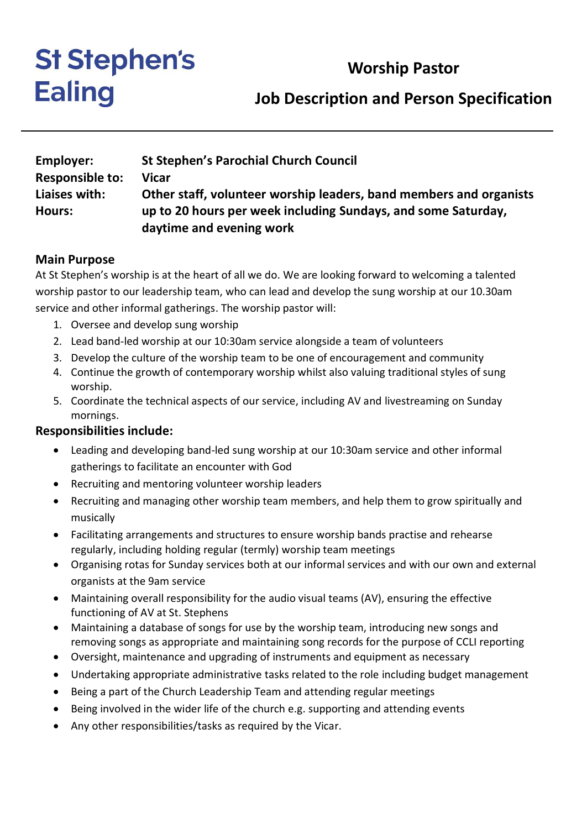# **Worship Pastor**

# **St Stephen's Ealing**

# **Job Description and Person Specification**

| <b>Employer:</b>       | <b>St Stephen's Parochial Church Council</b>                       |
|------------------------|--------------------------------------------------------------------|
| <b>Responsible to:</b> | Vicar                                                              |
| Liaises with:          | Other staff, volunteer worship leaders, band members and organists |
| Hours:                 | up to 20 hours per week including Sundays, and some Saturday,      |
|                        | daytime and evening work                                           |

#### **Main Purpose**

At St Stephen's worship is at the heart of all we do. We are looking forward to welcoming a talented worship pastor to our leadership team, who can lead and develop the sung worship at our 10.30am service and other informal gatherings. The worship pastor will:

- 1. Oversee and develop sung worship
- 2. Lead band-led worship at our 10:30am service alongside a team of volunteers
- 3. Develop the culture of the worship team to be one of encouragement and community
- 4. Continue the growth of contemporary worship whilst also valuing traditional styles of sung worship.
- 5. Coordinate the technical aspects of our service, including AV and livestreaming on Sunday mornings.

#### **Responsibilities include:**

- Leading and developing band-led sung worship at our 10:30am service and other informal gatherings to facilitate an encounter with God
- Recruiting and mentoring volunteer worship leaders
- Recruiting and managing other worship team members, and help them to grow spiritually and musically
- Facilitating arrangements and structures to ensure worship bands practise and rehearse regularly, including holding regular (termly) worship team meetings
- Organising rotas for Sunday services both at our informal services and with our own and external organists at the 9am service
- Maintaining overall responsibility for the audio visual teams (AV), ensuring the effective functioning of AV at St. Stephens
- Maintaining a database of songs for use by the worship team, introducing new songs and removing songs as appropriate and maintaining song records for the purpose of CCLI reporting
- Oversight, maintenance and upgrading of instruments and equipment as necessary
- Undertaking appropriate administrative tasks related to the role including budget management
- Being a part of the Church Leadership Team and attending regular meetings
- Being involved in the wider life of the church e.g. supporting and attending events
- Any other responsibilities/tasks as required by the Vicar.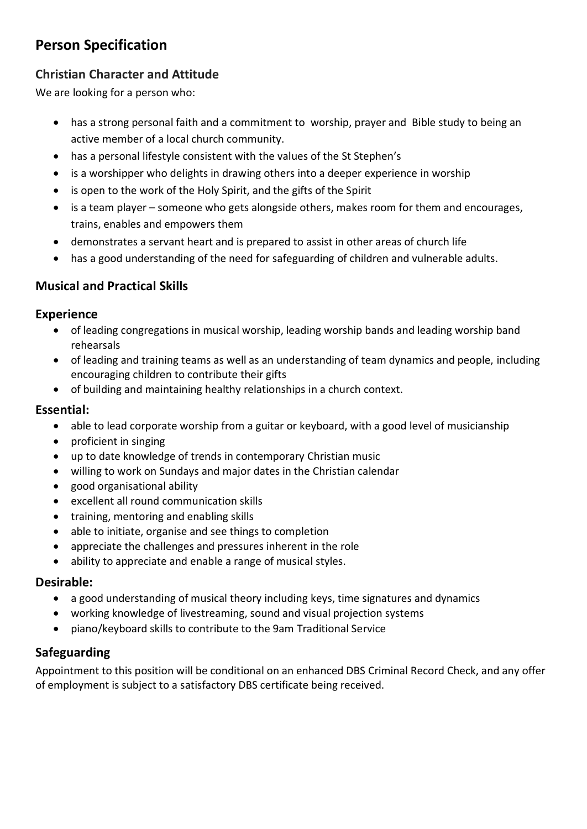# **Person Specification**

## **Christian Character and Attitude**

We are looking for a person who:

- has a strong personal faith and a commitment to worship, prayer and Bible study to being an active member of a local church community.
- has a personal lifestyle consistent with the values of the St Stephen's
- is a worshipper who delights in drawing others into a deeper experience in worship
- is open to the work of the Holy Spirit, and the gifts of the Spirit
- is a team player someone who gets alongside others, makes room for them and encourages, trains, enables and empowers them
- demonstrates a servant heart and is prepared to assist in other areas of church life
- has a good understanding of the need for safeguarding of children and vulnerable adults.

## **Musical and Practical Skills**

#### **Experience**

- of leading congregations in musical worship, leading worship bands and leading worship band rehearsals
- of leading and training teams as well as an understanding of team dynamics and people, including encouraging children to contribute their gifts
- of building and maintaining healthy relationships in a church context.

## **Essential:**

- able to lead corporate worship from a guitar or keyboard, with a good level of musicianship
- proficient in singing
- up to date knowledge of trends in contemporary Christian music
- willing to work on Sundays and major dates in the Christian calendar
- good organisational ability
- excellent all round communication skills
- training, mentoring and enabling skills
- able to initiate, organise and see things to completion
- appreciate the challenges and pressures inherent in the role
- ability to appreciate and enable a range of musical styles.

## **Desirable:**

- a good understanding of musical theory including keys, time signatures and dynamics
- working knowledge of livestreaming, sound and visual projection systems
- piano/keyboard skills to contribute to the 9am Traditional Service

## **Safeguarding**

Appointment to this position will be conditional on an enhanced DBS Criminal Record Check, and any offer of employment is subject to a satisfactory DBS certificate being received.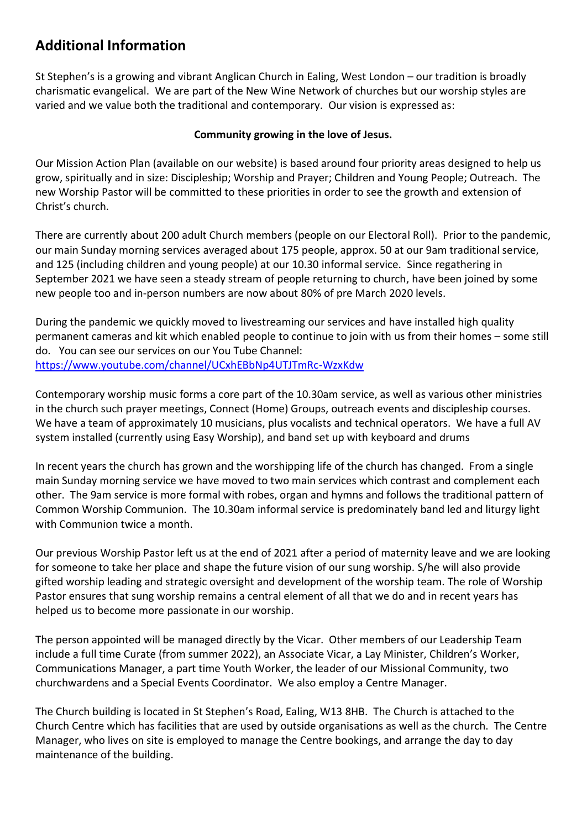# **Additional Information**

St Stephen's is a growing and vibrant Anglican Church in Ealing, West London – our tradition is broadly charismatic evangelical. We are part of the New Wine Network of churches but our worship styles are varied and we value both the traditional and contemporary. Our vision is expressed as:

#### **Community growing in the love of Jesus.**

Our Mission Action Plan (available on our website) is based around four priority areas designed to help us grow, spiritually and in size: Discipleship; Worship and Prayer; Children and Young People; Outreach. The new Worship Pastor will be committed to these priorities in order to see the growth and extension of Christ's church.

There are currently about 200 adult Church members (people on our Electoral Roll). Prior to the pandemic, our main Sunday morning services averaged about 175 people, approx. 50 at our 9am traditional service, and 125 (including children and young people) at our 10.30 informal service. Since regathering in September 2021 we have seen a steady stream of people returning to church, have been joined by some new people too and in-person numbers are now about 80% of pre March 2020 levels.

During the pandemic we quickly moved to livestreaming our services and have installed high quality permanent cameras and kit which enabled people to continue to join with us from their homes – some still do. You can see our services on our You Tube Channel: <https://www.youtube.com/channel/UCxhEBbNp4UTJTmRc-WzxKdw>

Contemporary worship music forms a core part of the 10.30am service, as well as various other ministries in the church such prayer meetings, Connect (Home) Groups, outreach events and discipleship courses. We have a team of approximately 10 musicians, plus vocalists and technical operators. We have a full AV system installed (currently using Easy Worship), and band set up with keyboard and drums

In recent years the church has grown and the worshipping life of the church has changed. From a single main Sunday morning service we have moved to two main services which contrast and complement each other. The 9am service is more formal with robes, organ and hymns and follows the traditional pattern of Common Worship Communion. The 10.30am informal service is predominately band led and liturgy light with Communion twice a month.

Our previous Worship Pastor left us at the end of 2021 after a period of maternity leave and we are looking for someone to take her place and shape the future vision of our sung worship. S/he will also provide gifted worship leading and strategic oversight and development of the worship team. The role of Worship Pastor ensures that sung worship remains a central element of all that we do and in recent years has helped us to become more passionate in our worship.

The person appointed will be managed directly by the Vicar. Other members of our Leadership Team include a full time Curate (from summer 2022), an Associate Vicar, a Lay Minister, Children's Worker, Communications Manager, a part time Youth Worker, the leader of our Missional Community, two churchwardens and a Special Events Coordinator. We also employ a Centre Manager.

The Church building is located in St Stephen's Road, Ealing, W13 8HB. The Church is attached to the Church Centre which has facilities that are used by outside organisations as well as the church. The Centre Manager, who lives on site is employed to manage the Centre bookings, and arrange the day to day maintenance of the building.